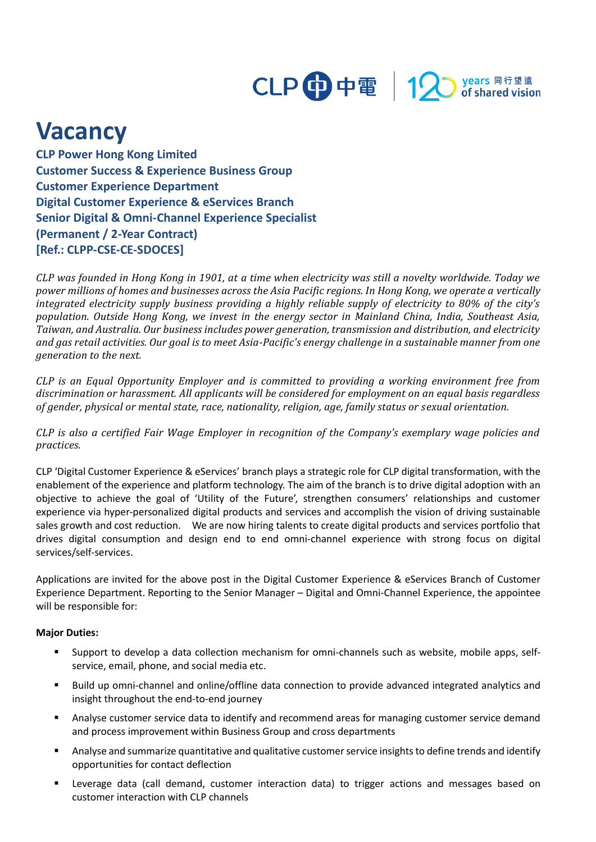

## **Vacancy**

**CLP Power Hong Kong Limited Customer Success & Experience Business Group Customer Experience Department Digital Customer Experience & eServices Branch Senior Digital & Omni-Channel Experience Specialist (Permanent / 2-Year Contract) [Ref.: CLPP-CSE-CE-SDOCES]**

*CLP was founded in Hong Kong in 1901, at a time when electricity was still a novelty worldwide. Today we power millions of homes and businesses across the Asia Pacific regions. In Hong Kong, we operate a vertically integrated electricity supply business providing a highly reliable supply of electricity to 80% of the city's population. Outside Hong Kong, we invest in the energy sector in Mainland China, India, Southeast Asia, Taiwan, and Australia. Our business includes power generation, transmission and distribution, and electricity and gas retail activities. Our goal is to meet Asia-Pacific's energy challenge in a sustainable manner from one generation to the next.*

*CLP is an Equal Opportunity Employer and is committed to providing a working environment free from discrimination or harassment. All applicants will be considered for employment on an equal basis regardless of gender, physical or mental state, race, nationality, religion, age, family status or sexual orientation.*

*CLP is also a certified Fair Wage Employer in recognition of the Company's exemplary wage policies and practices.*

CLP 'Digital Customer Experience & eServices' branch plays a strategic role for CLP digital transformation, with the enablement of the experience and platform technology. The aim of the branch is to drive digital adoption with an objective to achieve the goal of 'Utility of the Future', strengthen consumers' relationships and customer experience via hyper-personalized digital products and services and accomplish the vision of driving sustainable sales growth and cost reduction. We are now hiring talents to create digital products and services portfolio that drives digital consumption and design end to end omni-channel experience with strong focus on digital services/self-services.

Applications are invited for the above post in the Digital Customer Experience & eServices Branch of Customer Experience Department. Reporting to the Senior Manager – Digital and Omni-Channel Experience, the appointee will be responsible for:

## **Major Duties:**

- Support to develop a data collection mechanism for omni-channels such as website, mobile apps, selfservice, email, phone, and social media etc.
- Build up omni-channel and online/offline data connection to provide advanced integrated analytics and insight throughout the end-to-end journey
- **•** Analyse customer service data to identify and recommend areas for managing customer service demand and process improvement within Business Group and cross departments
- Analyse and summarize quantitative and qualitative customer service insights to define trends and identify opportunities for contact deflection
- Leverage data (call demand, customer interaction data) to trigger actions and messages based on customer interaction with CLP channels